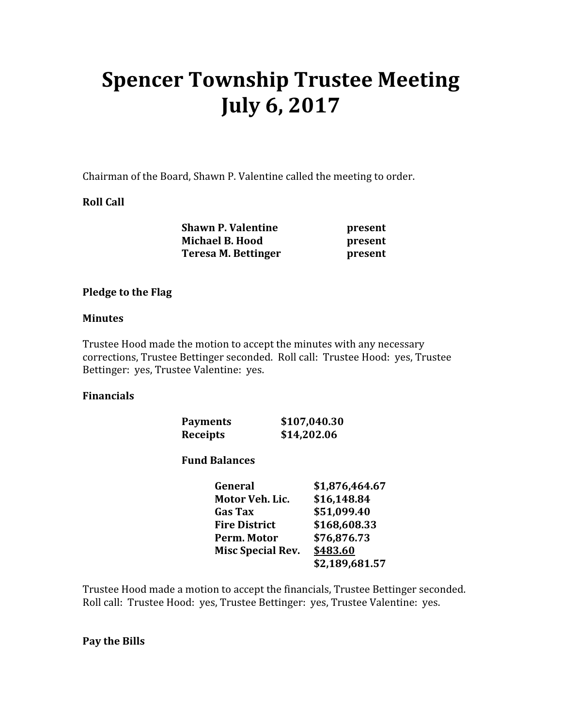# Spencer Township Trustee Meeting July 6, 2017

Chairman of the Board, Shawn P. Valentine called the meeting to order.

## Roll Call

| <b>Shawn P. Valentine</b> | present |
|---------------------------|---------|
| <b>Michael B. Hood</b>    | present |
| Teresa M. Bettinger       | present |

#### Pledge to the Flag

#### Minutes

Trustee Hood made the motion to accept the minutes with any necessary corrections, Trustee Bettinger seconded. Roll call: Trustee Hood: yes, Trustee Bettinger: yes, Trustee Valentine: yes.

#### Financials

| <b>Payments</b> | \$107,040.30 |
|-----------------|--------------|
| Receipts        | \$14,202.06  |

#### Fund Balances

| General                  | \$1,876,464.67 |
|--------------------------|----------------|
| Motor Veh. Lic.          | \$16,148.84    |
| <b>Gas Tax</b>           | \$51,099.40    |
| <b>Fire District</b>     | \$168,608.33   |
| Perm. Motor              | \$76,876.73    |
| <b>Misc Special Rev.</b> | \$483.60       |
|                          | \$2,189,681.57 |

Trustee Hood made a motion to accept the financials, Trustee Bettinger seconded. Roll call: Trustee Hood: yes, Trustee Bettinger: yes, Trustee Valentine: yes.

#### Pay the Bills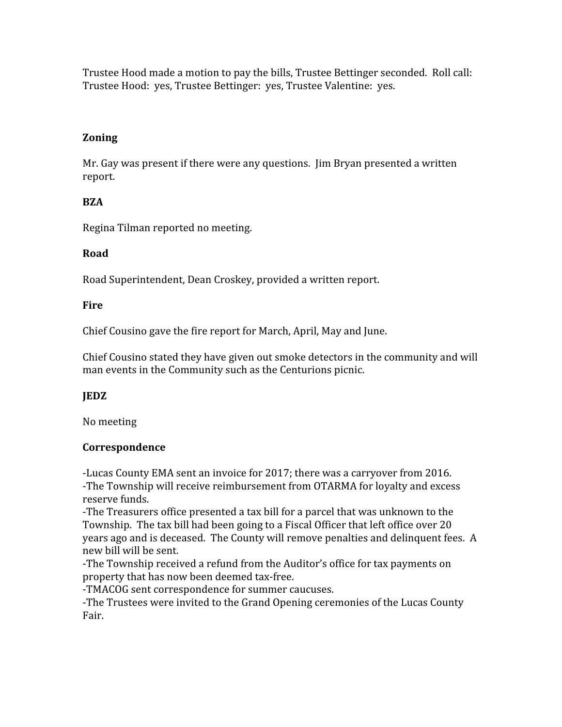Trustee Hood made a motion to pay the bills, Trustee Bettinger seconded. Roll call: Trustee Hood: yes, Trustee Bettinger: yes, Trustee Valentine: yes.

# Zoning

Mr. Gay was present if there were any questions. Jim Bryan presented a written report.

# **BZA**

Regina Tilman reported no meeting.

# Road

Road Superintendent, Dean Croskey, provided a written report.

## Fire

Chief Cousino gave the fire report for March, April, May and June.

Chief Cousino stated they have given out smoke detectors in the community and will man events in the Community such as the Centurions picnic.

# **IEDZ**

No meeting

# Correspondence

-Lucas County EMA sent an invoice for 2017; there was a carryover from 2016. -The Township will receive reimbursement from OTARMA for loyalty and excess reserve funds.

-The Treasurers office presented a tax bill for a parcel that was unknown to the Township. The tax bill had been going to a Fiscal Officer that left office over 20 years ago and is deceased. The County will remove penalties and delinquent fees. A new bill will be sent.

-The Township received a refund from the Auditor's office for tax payments on property that has now been deemed tax-free.

-TMACOG sent correspondence for summer caucuses.

-The Trustees were invited to the Grand Opening ceremonies of the Lucas County Fair.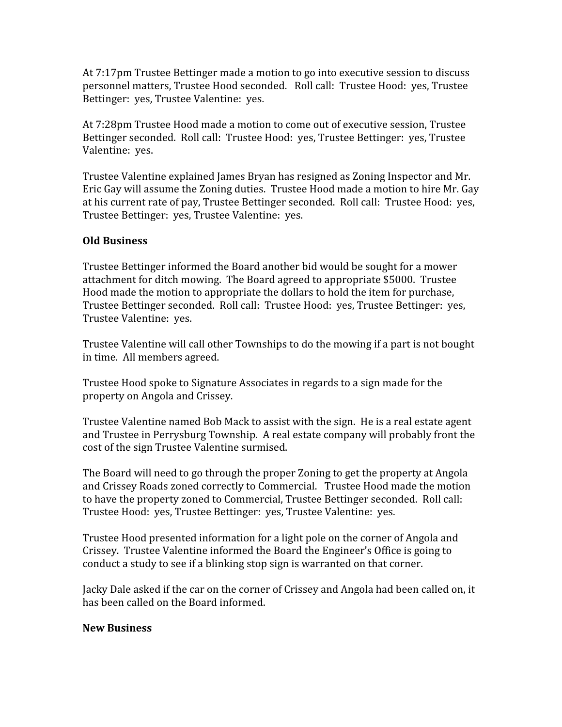At 7:17pm Trustee Bettinger made a motion to go into executive session to discuss personnel matters, Trustee Hood seconded. Roll call: Trustee Hood: yes, Trustee Bettinger: yes, Trustee Valentine: yes.

At 7:28pm Trustee Hood made a motion to come out of executive session, Trustee Bettinger seconded. Roll call: Trustee Hood: yes, Trustee Bettinger: yes, Trustee Valentine: yes.

Trustee Valentine explained James Bryan has resigned as Zoning Inspector and Mr. Eric Gay will assume the Zoning duties. Trustee Hood made a motion to hire Mr. Gay at his current rate of pay, Trustee Bettinger seconded. Roll call: Trustee Hood: yes, Trustee Bettinger: yes, Trustee Valentine: yes.

## Old Business

Trustee Bettinger informed the Board another bid would be sought for a mower attachment for ditch mowing. The Board agreed to appropriate \$5000. Trustee Hood made the motion to appropriate the dollars to hold the item for purchase, Trustee Bettinger seconded. Roll call: Trustee Hood: yes, Trustee Bettinger: yes, Trustee Valentine: yes.

Trustee Valentine will call other Townships to do the mowing if a part is not bought in time. All members agreed.

Trustee Hood spoke to Signature Associates in regards to a sign made for the property on Angola and Crissey.

Trustee Valentine named Bob Mack to assist with the sign. He is a real estate agent and Trustee in Perrysburg Township. A real estate company will probably front the cost of the sign Trustee Valentine surmised.

The Board will need to go through the proper Zoning to get the property at Angola and Crissey Roads zoned correctly to Commercial. Trustee Hood made the motion to have the property zoned to Commercial, Trustee Bettinger seconded. Roll call: Trustee Hood: yes, Trustee Bettinger: yes, Trustee Valentine: yes.

Trustee Hood presented information for a light pole on the corner of Angola and Crissey. Trustee Valentine informed the Board the Engineer's Office is going to conduct a study to see if a blinking stop sign is warranted on that corner.

Jacky Dale asked if the car on the corner of Crissey and Angola had been called on, it has been called on the Board informed.

#### New Business